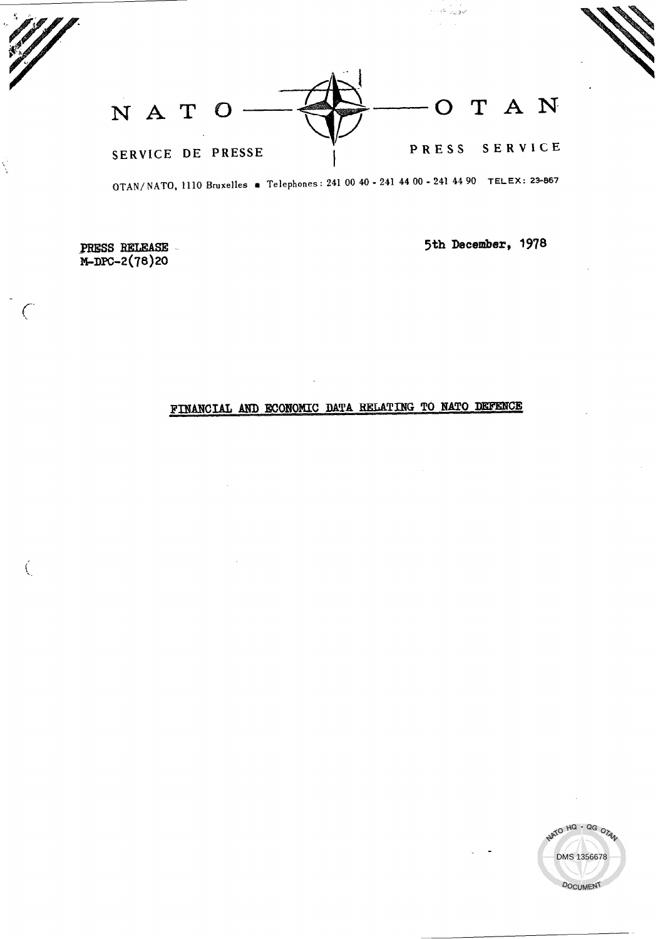T A N N A T O  $\bigcirc$ SERVICE PRESS SERVICE DE PRESSE

OTAN/NATO, 1110 Bruxelles · Telephones: 241 00 40 - 241 44 00 - 241 44 90 TELEX: 23-867

PRESS RELEASE M-DPC-2(78)20

Ŵ

 $\mathbf{r}$ 

5th December, 1978

ر<br>پولی را میان

# FINANCIAL AND ECONOMIC DATA RELATING TO NATO DEFENCE

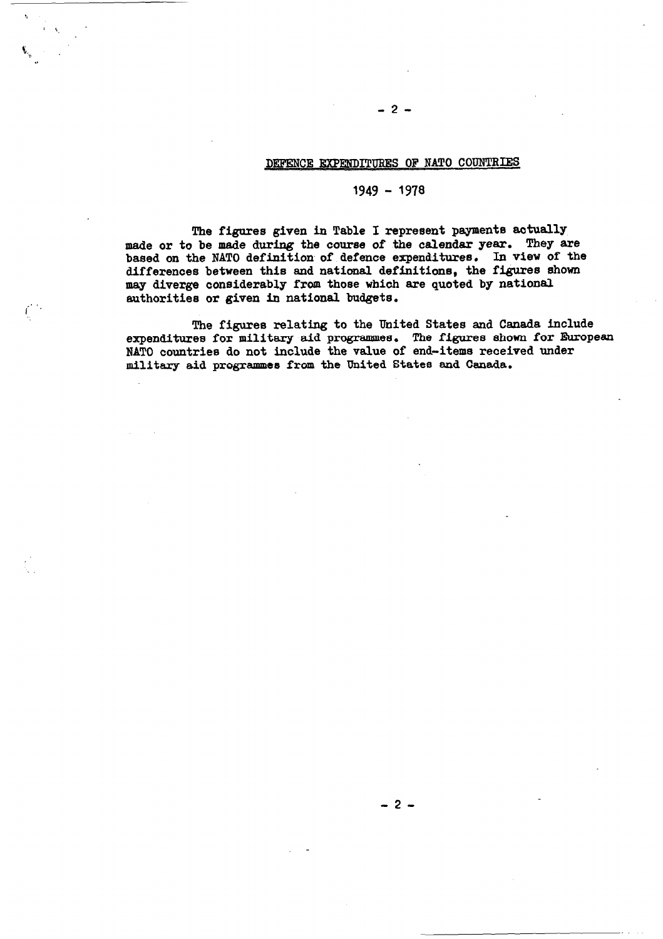### DEFENCE EXPENDITURES OF NATO COUNTRIES

 $-2-$ 

### 1949 - 1978

The figures given in Table I represent payments actually made or to be made during the course of the calendar year. They are based on the NATO definition of defence expenditures. In view of the differences between this and national definitions, the figures shown may diverge considerably from those which are quoted by national authorities or given in national budgets.

The figures relating to the United States and Canada include expenditures for military aid programmes. The figures shown for Ruropean NATO countries do not include the value of end-items received under military aid programmes from the United States and Canada.

 $-2-$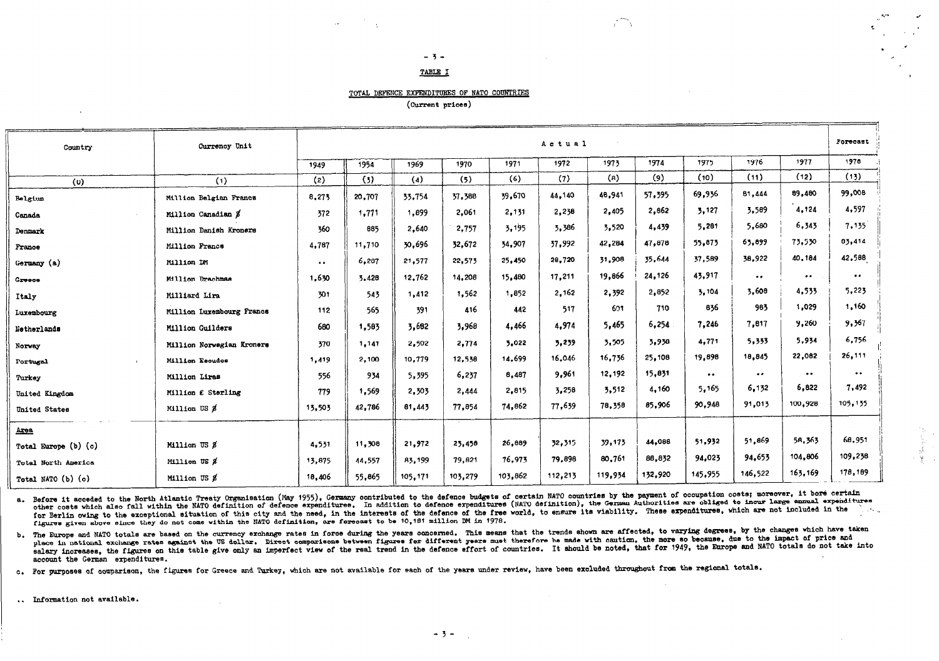#### $-3-$ TABLE I

#### TOTAL DEFENCE EXPENDITURES OF NATO COUNTRIES

(Current prices)

| Country                  | Currency Unit             | Actual                |        |         |         |         |         |         |         | Forecast         |                     |                     |                     |
|--------------------------|---------------------------|-----------------------|--------|---------|---------|---------|---------|---------|---------|------------------|---------------------|---------------------|---------------------|
|                          |                           | 1949                  | 1954   | 1969    | 1970    | 1971    | 1972    | 1973    | 1974    | 1975             | 1976                | 1977                | 1978                |
| (0)                      | (1)                       | (2)                   | (3)    | (4)     | (5)     | (6)     | (7)     | (a)     | (9)     | (10)             | (11)                | (12)                | (13)                |
| Belgium                  | Million Belgian Francs    | 8,275                 | 20,707 | 33,754  | 37,388  | 39,670  | 44.140  | 48,941  | 57.395  | 69,936           | 81,444              | 89,480              | 99,008              |
| Canada                   | Million Canadian \$       | 372                   | 1,771  | 1,899   | 2,061   | 2,131   | 2,238   | 2,405   | 2,862   | 3,127            | 3,589               | 4,124               | 4,597               |
| Denmark                  | Million Danish Kroners    | 360                   | 885    | 2,640   | 2,757   | 3,195   | 3,386   | 3,520   | 4,439   | 5,281            | 5,680               | 6,345               | 7,135               |
| France                   | Million Francs            | 4,787                 | 11,710 | 30,696  | 32,672  | 34,907  | 37.992  | 42,284  | 47,878  | 55,873           | 63.899              | 73,530              | 83,414              |
| Germany (a)              | Million DM                | $\bullet$ $\bullet$ . | 6,287  | 21,577  | 22,573  | 25,450  | 28,720  | 31,908  | 35,644  | 37,589           | 38,922              | 40,184              | 42,588              |
| Creece                   | Million Drachmae          | 1,630                 | 3,428  | 12,762  | 14,208  | 15,480  | 17,211  | 19,866  | 24,126  | 43,917           | $\bullet$ $\bullet$ | $\bullet$           | $\bullet$ $\bullet$ |
| Italy                    | Milliard Lira             | 301                   | 543    | 1,412   | 1,562   | 1,852   | 2,162   | 2,392   | 2,852   | 3,104            | 3,608               | 4,533               | 5,223               |
| Luxembourg               | Million Luxembourg Francs | 112                   | 565    | 391     | 416     | 442     | 517     | 601     | 710     | 836              | 983                 | 1,029               | 1,160               |
| Netherlands              | Million Guilders          | 680                   | 1,583  | 3,682   | 3.968   | 4,466   | 4.974   | 5,465   | 6,254   | 7,246            | 7,817               | 9,260               | 9,367               |
| Norway                   | Million Norwegian Kroners | 370                   | 1,141  | 2,502   | 2,774   | 5.022   | 3,239   | 3,505   | 3,938   | 4,771            | 5,333               | 5,934               | 6,756               |
| Portugal<br>$\mathbf{I}$ | Million Escudos           | 1,419                 | 2,100  | 10,779  | 12.538  | 14.699  | 16,046  | 16,736  | 25,108  | 19,898           | 18,845              | 22,082              | 26,111              |
| Turkey                   | Million Liras             | 556                   | 934    | 5,395   | 6,237   | 8,487   | 9.961   | 12,192  | 15,831  | $\bullet\bullet$ | $\bullet$ $\bullet$ | $\bullet$ $\bullet$ | $\bullet\bullet$    |
| United Kingdom           | Million £ Sterling        | 779                   | 1,569  | 2,303   | 2,444   | 2,815   | 3,258   | 3,512   | 4,160   | 5,165            | 6,132               | 6,822               | 7,492               |
| United States            | Million US \$             | 13,503                | 42,786 | 81,443  | 77,854  | 74,862  | 77,639  | 78,358  | 85,906  | 90.948           | 91,013              | 100,928             | 105,135             |
| $Area$                   |                           |                       |        |         |         |         |         |         |         |                  |                     |                     |                     |
| Total Europe (b) (c)     | Million US &              | 4,531                 | 11,308 | 21,972  | 23,458  | 26,889  | 32, 315 | 39,173  | 44,088  | 51,932           | 51,869              | 58,363              | 68,951              |
| Total North America      | Million US &              | 13,875                | 44,557 | 83,199  | 79,821  | 76,973  | 79,898  | 80,761  | 88,832  | 94.023           | 94,653              | 104,806             | 109,238             |
| Total NATO (b) (c)       | Million US \$             | 18,406                | 55,865 | 105,171 | 103,279 | 103.862 | 112,213 | 119,934 | 132,920 | 145.955          | 146,522             | 163.169             | 178,189             |

a. Before it acceded to the North Atlantic Treaty Organisation (May 1955), Germany contributed to the defence budgets of certain NATO countries by the payment of occupation costs; moreover, it bore certain other costs which also fall within the NATO definition of defence expenditures. In addition to defence expenditures (NATO definition), the German Authorities are obliged to incur large annual expenditures for Berlin owing to the exceptional situation of this city and the need, in the interests of the defence of the free world, to ensure its viability. These expenditures, which are not included in the للمعاد figures given above since they do not come within the NATO definition, are forecast to be 10,181 million DM in 1978.

b. The Europe and NATO totals are based on the currency exchange rates in force during the years concerned. This means that the trends shown are affected, to varying degrees, by the changes which have taken place in national exchange rates against the US dollar. Direct comparisons between figures for different years must therefore be made with caution, the more so because, due to the impact of price and salary increases, the figures on this table give only an imperfect view of the real trend in the defence effort of countries. It should be noted, that for 1949, the Europe and NATO totals do not take into account the German expenditures.

c. For purposes of comparison, the figures for Greece and Turkey, which are not available for each of the years under review, have been excluded throughout from the regional totals.

.. Information not available.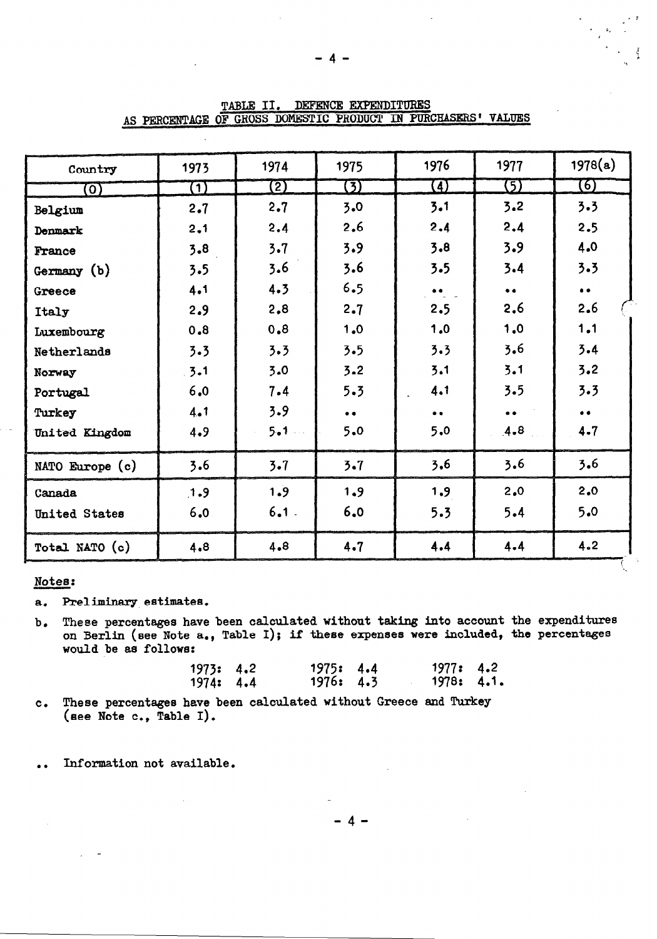| Country               | 1973    | 1974      | 1975                | 1976                | 1977              | 1978(a)             |
|-----------------------|---------|-----------|---------------------|---------------------|-------------------|---------------------|
| $\overline{\text{o}}$ | (1)     | (2)       | $\bm{\mathrm{(5)}}$ | $\bf{G}$            | (5)               | (6)                 |
| Belgium               | 2.7     | 2.7       | 3.0                 | 3.1                 | 3.2               | 3.3                 |
| Denmark               | 2.1     | 2.4       | 2.6                 | 2.4                 | 2.4               | 2.5                 |
| France                | 3.8     | 3.7       | 3.9                 | 3.8                 | 3.9               | 4.0                 |
| Germany (b)           | 3.5     | 3.6       | 3.6                 | 3.5                 | 3.4               | 3.3                 |
| Greece                | 4.1     | 4.3       | 6.5                 | $\bullet$ $\bullet$ | $\bullet$         | $\bullet$ $\bullet$ |
| Italy                 | 2.9     | 2,8       | 2.7                 | 2.5                 | 2.6               | 2.6                 |
| Luxembourg            | 8.0     | 0.8       | 1.0                 | 1.0                 | 1.0               | 1.1                 |
| Netherlands           | 3.3     | 3.3       | 3.5                 | 3.3                 | 3.6               | 3.4                 |
| Norway                | $3 - 1$ | 3.0       | 3.2                 | 3.1                 | 3.1               | 3.2                 |
| Portugal              | 6.0     | 7.4       | 5.3                 | 4.1                 | 3.5               | 3.3                 |
| Turkey                | 4.1     | 3.9       | $\bullet$ $\bullet$ | $\bullet$ $\bullet$ | $\bullet \bullet$ | $\bullet$ $\bullet$ |
| United Kingdom        | 4.9     | $5 - 1 -$ | 5.0                 | 5.0                 | 4.8               | 4.7                 |
| NATO Europe (c)       | 3.6     | $3 - 7$   | 3.7                 | 3,6                 | 3.6               | 3.6                 |
| Canada                | 1.9     | 1.9       | 1.9                 | 1.9                 | 2.0               | 2.0                 |
| United States         | 6.0     | $6.1$ .   | 6.0                 | 5.3                 | 5.4               | 5.0                 |
| Total NATO (c)        | 4.8     | 4.8       | 4.7                 | 4.4                 | 4.4               | 4.2                 |

TABLE II. DEFENCE EXPENDITURES AS PERCENTAGE OF GROSS DOMESTIC PRODUCT IN PURCHASERS' VALUES

### Notes:

Preliminary estimates.  $a<sub>z</sub>$ 

These percentages have been calculated without taking into account the expenditures  $\mathbf{b}$ . on Berlin (see Note a., Table I); if these expenses were included, the percentages would be as follows:

| 1973: 4.2 | 1975: 4.4 | 1977: 4.2  |  |
|-----------|-----------|------------|--|
| 1974: 4.4 | 1976: 4.3 | 1978: 4.1. |  |

- These percentages have been calculated without Greece and Turkey  $c_{\bullet}$ (see Note c., Table I).
- Information not available.  $\ddot{\phantom{1}}$

 $-4-$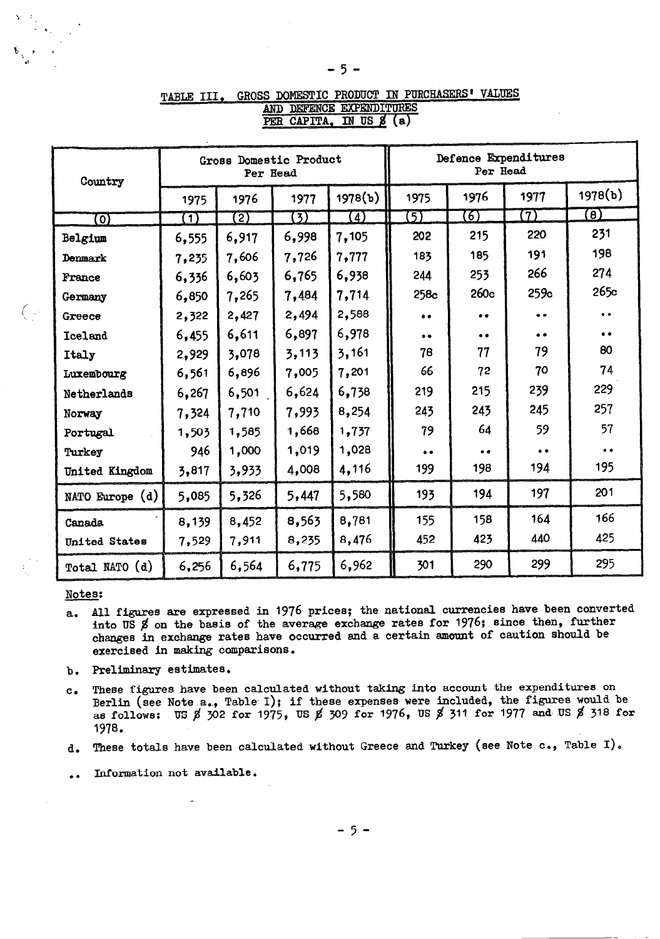| Country         |       | Gross Domestic Product<br>Per Head |                |                     | Defence Expenditures |           |           |           |
|-----------------|-------|------------------------------------|----------------|---------------------|----------------------|-----------|-----------|-----------|
|                 | 1975  | 1976                               | 1977           | 1978(b)             | 1975                 | 1976      | 1977      | 1978(b)   |
| O)              | [T    | $\overline{2)}$                    | $\overline{3}$ | $\bm{(\mathit{4})}$ | 5)                   | 6)        | (7)       | (8)       |
| Belgium         | 6,555 | 6,917                              | 6,998          | 7,105               | 202                  | 215       | 220       | 231       |
| Denmark         | 7,235 | 7,606                              | 7,726          | 7,777               | 183                  | 185       | 191       | 198       |
| France          | 6,336 | 6,603                              | 6,765          | 6,938               | 244                  | 253       | 266       | 274       |
| Germany         | 6,850 | 7,265                              | 7,484          | 7,714               | 258c                 | 260c      | 259c      | 265c      |
| Greece          | 2,322 | 2,427                              | 2,494          | 2,588               | $\bullet$            | $\bullet$ | $\bullet$ | $\bullet$ |
| Iceland         | 6,455 | 6,611                              | 6,897          | 6,978               | $\bullet$            | $\bullet$ | $\bullet$ | $\bullet$ |
| Italy           | 2,929 | 3,078                              | 3,113          | 3,161               | 78                   | 77        | 79        | 80        |
| Luxembourg      | 6,561 | 6,896                              | 7,005          | 7,201               | 66                   | 72        | 70        | 74        |
| Netherlands     | 6,267 | 6,501                              | 6,624          | 6,738               | 219                  | 215       | 239       | 229       |
| Norway          | 7,324 | 7,710                              | 7,993          | 8,254               | 243                  | 243       | 245       | 257       |
| Portugal        | 1,503 | 1,585                              | 1,668          | 1,737               | 79                   | 64        | 59        | 57        |
| Turkey          | 946   | 1,000                              | 1,019          | 1,028               | $\bullet$            | $\bullet$ | $\bullet$ | $\bullet$ |
| United Kingdom  | 3,817 | 3,933                              | 4,008          | 4,116               | 199                  | 198       | 194       | 195       |
| NATO Europe (d) | 5,085 | 5,326                              | 5,447          | 5,580               | 193                  | 194       | 197       | 201       |
| Canada          | 8,139 | 8,452                              | 8,563          | 8,781               | 155                  | 158       | 164       | 166       |
| United States   | 7,529 | 7,911                              | 8,235          | 8,476               | 452                  | 423       | 440       | 425       |
| Total NATO (d)  | 6,256 | 6,564                              | 6,775          | 6,962               | 301                  | 290       | 299       | 295       |

#### GROSS DOMESTIC PRODUCT IN PURCHASERS' VALUES TABLE III. AND DEFENCE EXPENDITURES PER CAPITA, IN US 8 (a)

### Notes:

- All figures are expressed in 1976 prices; the national currencies have been converted  $a_{\bullet}$ into US  $\sharp$  on the basis of the average exchange rates for 1976; since then, further changes in exchange rate8 have occurred and a certain amount of caution should be exercised in making comparisons.
- b. Preliminary estimates
- $c_{\bullet}$ These figures have been calculated without taking into account the expenditures on Berlin (see Note a., Table I); if these expenses were included, the figures would be as follows: US  $\cancel{8}$  302 for 1975, US  $\cancel{8}$  309 for 1976, US  $\cancel{8}$  311 for 1977 and US  $\cancel{8}$  318 for 1978.
- d. These totals have been calculated without Greece and Turkey (see Note  $c_{\cdot}$ , Table I).
- . . Information not available.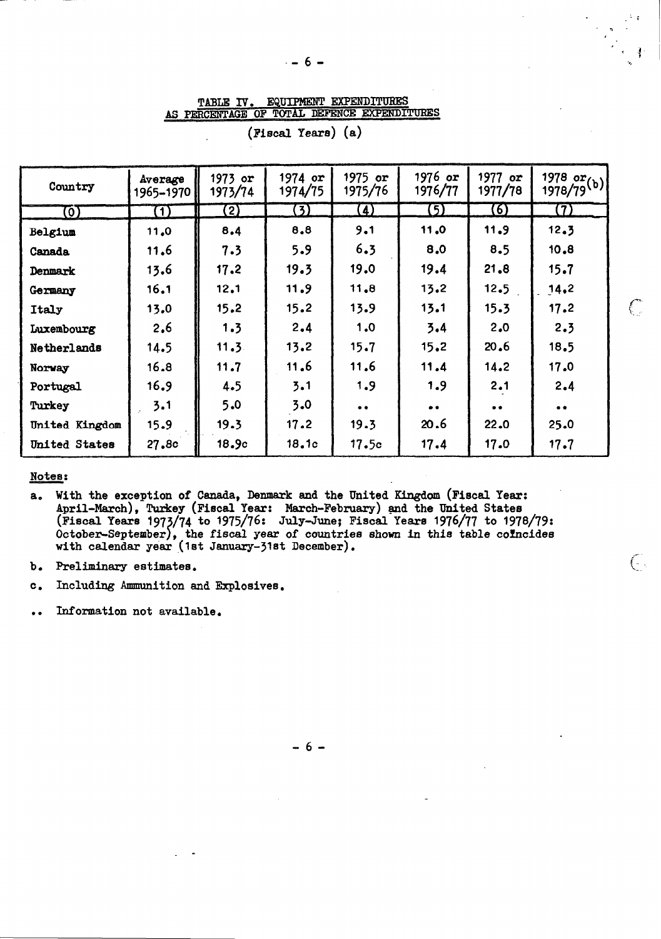TABLE IV. EQUIPMENT EXPENDITURES AS PERCENTAGE OF TOTAL DEFENCE EXPENDITURES

| Country        | Average<br>1965-1970 | $1973$ or<br>1973/74 | $1974$ or<br>1974/75 | $1975$ or<br>1975/76 | $1976$ or<br>1976/77 | 1977 $or$<br>1977/78 | 1978 or(b)<br>1978/79(b) |
|----------------|----------------------|----------------------|----------------------|----------------------|----------------------|----------------------|--------------------------|
| 0)             | $\bf(1)$             | $\bf(2)$             | (3)                  | $\left( 4\right)$    | (5)                  | (6)                  | (7)                      |
| Belgium        | 11.0                 | 8.4                  | 8,8                  | 9.1                  | 11.0                 | 11.9                 | 12.3                     |
| Canada         | 11.6                 | 7.3                  | 5.9                  | 6.3                  | 8.0                  | 8.5                  | 10.8                     |
| Denmark        | 13.6                 | 17.2                 | 19.3                 | 19.0                 | 19.4                 | 21.8                 | 15.7                     |
| Germany        | 16.1                 | 12.1                 | 11.9                 | 11.8                 | 13.2                 | 12.5                 | 14.2                     |
| Italy          | 13.0                 | 15.2                 | 15.2                 | 13.9                 | 13.1                 | 15.3                 | 17.2                     |
| Luxembourg     | 2.6                  | 1.3                  | 2.4                  | 1.0                  | 3.4                  | 2.0                  | 2.3                      |
| Netherlands    | 14.5                 | 11.3                 | 13.2                 | 15.7                 | 15.2                 | 20.6                 | 18.5                     |
| Norway         | 16.8                 | 11.7                 | 11.6                 | 11.6                 | 11.4                 | 14.2                 | 17.0                     |
| Portugal       | 16.9                 | 4.5                  | 3.1                  | 1.9                  | 1.9                  | 2.1                  | 2.4                      |
| Turkey         | 3.1                  | 5.0                  | 3.0                  | $\bullet\bullet$     | $\bullet$ $\bullet$  | $\bullet$ $\bullet$  | $\bullet$ $\bullet$      |
| United Kingdom | 15.9                 | 19.3                 | 17.2                 | 19.3                 | 20.6                 | 22.0                 | 25.0                     |
| United States  | 27.8c                | 18.9c                | 18.1c                | 17.5c                | 17.4                 | 17.0                 | 17.7                     |

(Fiscal Years) (a)

### Notes:

- a. With the exception of Canada, Denmark and the United Kingdom (Fiscal Year: April-March), Turkey (Fiscal Year: March-February) and the United States (Fiscal Years 1973/74 to 1975/76: July-June; Fiscal Years 1976/77 to 19 October-September), the fiscal year of countries shown in this table coincides with calendar year (1st January-31st December).
- Preliminary estimates.  $b_{\bullet}$
- $\mathbf{c}$ . Including Ammunition and Explosives.
- Information not available.

 $-6-$ 

€